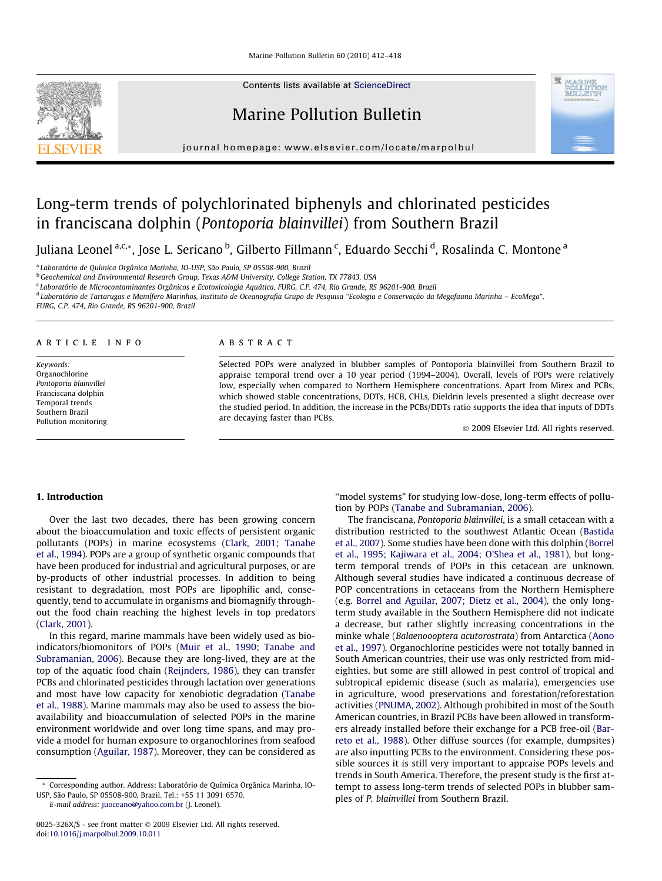Contents lists available at [ScienceDirect](http://www.sciencedirect.com/science/journal/0025326X)

# Marine Pollution Bulletin



journal homepage: [www.elsevier.com/locate/marpolbul](http://www.elsevier.com/locate/marpolbul)

# Long-term trends of polychlorinated biphenyls and chlorinated pesticides in franciscana dolphin (Pontoporia blainvillei) from Southern Brazil

Juliana Leonel <sup>a,c,</sup>\*, Jose L. Sericano <sup>b</sup>, Gilberto Fillmann <sup>c</sup>, Eduardo Secchi <sup>d</sup>, Rosalinda C. Montone <sup>a</sup>

<sup>a</sup> Laboratório de Química Orgânica Marinha, IO-USP, São Paulo, SP 05508-900, Brazil

<sup>b</sup> Geochemical and Environmental Research Group, Texas A&M University, College Station, TX 77843, USA

<sup>c</sup> Laboratório de Microcontaminantes Orgânicos e Ecotoxicologia Aquática, FURG, C.P. 474, Rio Grande, RS 96201-900, Brazil

<sup>d</sup> Laboratório de Tartarugas e Mamífero Marinhos, Instituto de Oceanografia Grupo de Pesquisa ''Ecologia e Conservação da Megafauna Marinha – EcoMega",

FURG, C.P. 474, Rio Grande, RS 96201-900, Brazil

#### article info

Keywords: Organochlorine Pontoporia blainvillei Franciscana dolphin Temporal trends Southern Brazil Pollution monitoring

## ABSTRACT

Selected POPs were analyzed in blubber samples of Pontoporia blainvillei from Southern Brazil to appraise temporal trend over a 10 year period (1994–2004). Overall, levels of POPs were relatively low, especially when compared to Northern Hemisphere concentrations. Apart from Mirex and PCBs, which showed stable concentrations, DDTs, HCB, CHLs, Dieldrin levels presented a slight decrease over the studied period. In addition, the increase in the PCBs/DDTs ratio supports the idea that inputs of DDTs are decaying faster than PCBs.

- 2009 Elsevier Ltd. All rights reserved.

#### 1. Introduction

Over the last two decades, there has been growing concern about the bioaccumulation and toxic effects of persistent organic pollutants (POPs) in marine ecosystems ([Clark, 2001; Tanabe](#page-5-0) [et al., 1994\)](#page-5-0). POPs are a group of synthetic organic compounds that have been produced for industrial and agricultural purposes, or are by-products of other industrial processes. In addition to being resistant to degradation, most POPs are lipophilic and, consequently, tend to accumulate in organisms and biomagnify throughout the food chain reaching the highest levels in top predators ([Clark, 2001\)](#page-5-0).

In this regard, marine mammals have been widely used as bioindicators/biomonitors of POPs ([Muir et al., 1990; Tanabe and](#page-5-0) [Subramanian, 2006\)](#page-5-0). Because they are long-lived, they are at the top of the aquatic food chain [\(Reijnders, 1986](#page-5-0)), they can transfer PCBs and chlorinated pesticides through lactation over generations and most have low capacity for xenobiotic degradation ([Tanabe](#page-6-0) [et al., 1988](#page-6-0)). Marine mammals may also be used to assess the bioavailability and bioaccumulation of selected POPs in the marine environment worldwide and over long time spans, and may provide a model for human exposure to organochlorines from seafood consumption ([Aguilar, 1987](#page-5-0)). Moreover, they can be considered as

E-mail address: [juoceano@yahoo.com.br](mailto:juoceano@yahoo.com.br) (J. Leonel).

''model systems" for studying low-dose, long-term effects of pollution by POPs ([Tanabe and Subramanian, 2006\)](#page-6-0).

The franciscana, Pontoporia blainvillei, is a small cetacean with a distribution restricted to the southwest Atlantic Ocean [\(Bastida](#page-5-0) [et al., 2007](#page-5-0)). Some studies have been done with this dolphin ([Borrel](#page-5-0) [et al., 1995; Kajiwara et al., 2004; O'Shea et al., 1981\)](#page-5-0), but longterm temporal trends of POPs in this cetacean are unknown. Although several studies have indicated a continuous decrease of POP concentrations in cetaceans from the Northern Hemisphere (e.g. [Borrel and Aguilar, 2007; Dietz et al., 2004](#page-5-0)), the only longterm study available in the Southern Hemisphere did not indicate a decrease, but rather slightly increasing concentrations in the minke whale (Balaenoooptera acutorostrata) from Antarctica [\(Aono](#page-5-0) [et al., 1997\)](#page-5-0). Organochlorine pesticides were not totally banned in South American countries, their use was only restricted from mideighties, but some are still allowed in pest control of tropical and subtropical epidemic disease (such as malaria), emergencies use in agriculture, wood preservations and forestation/reforestation activities ([PNUMA, 2002\)](#page-5-0). Although prohibited in most of the South American countries, in Brazil PCBs have been allowed in transformers already installed before their exchange for a PCB free-oil ([Bar](#page-5-0)[reto et al., 1988](#page-5-0)). Other diffuse sources (for example, dumpsites) are also inputting PCBs to the environment. Considering these possible sources it is still very important to appraise POPs levels and trends in South America. Therefore, the present study is the first attempt to assess long-term trends of selected POPs in blubber samples of P. blainvillei from Southern Brazil.



<sup>\*</sup> Corresponding author. Address: Laboratório de Química Orgânica Marinha, IO-USP, São Paulo, SP 05508-900, Brazil. Tel.: +55 11 3091 6570.

<sup>0025-326</sup>X/\$ - see front matter © 2009 Elsevier Ltd. All rights reserved. doi:[10.1016/j.marpolbul.2009.10.011](http://dx.doi.org/10.1016/j.marpolbul.2009.10.011)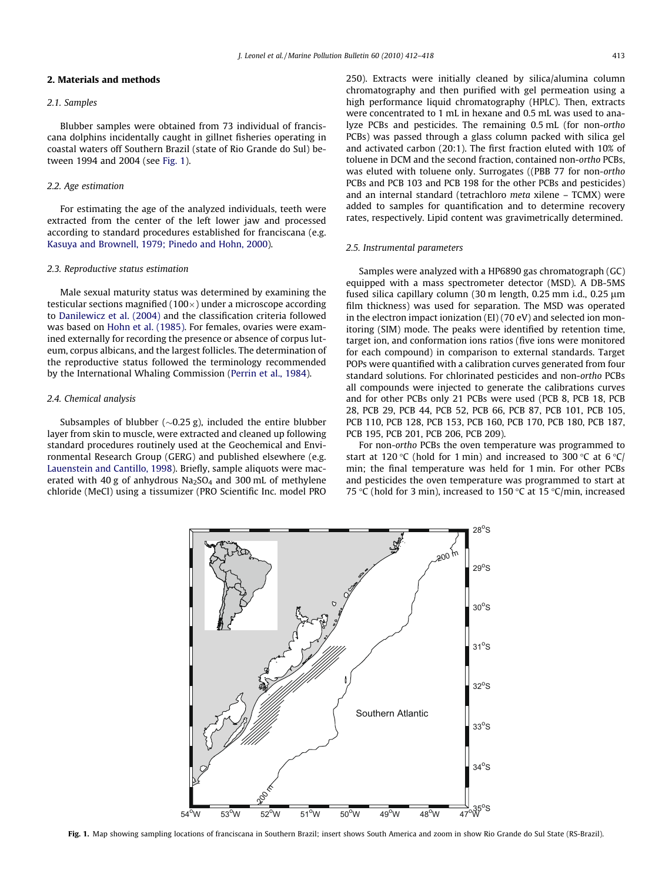# 2. Materials and methods

## 2.1. Samples

Blubber samples were obtained from 73 individual of franciscana dolphins incidentally caught in gillnet fisheries operating in coastal waters off Southern Brazil (state of Rio Grande do Sul) between 1994 and 2004 (see Fig. 1).

#### 2.2. Age estimation

For estimating the age of the analyzed individuals, teeth were extracted from the center of the left lower jaw and processed according to standard procedures established for franciscana (e.g. [Kasuya and Brownell, 1979; Pinedo and Hohn, 2000\)](#page-5-0).

#### 2.3. Reproductive status estimation

Male sexual maturity status was determined by examining the testicular sections magnified (100 $\times$ ) under a microscope according to [Danilewicz et al. \(2004\)](#page-5-0) and the classification criteria followed was based on [Hohn et al. \(1985\).](#page-5-0) For females, ovaries were examined externally for recording the presence or absence of corpus luteum, corpus albicans, and the largest follicles. The determination of the reproductive status followed the terminology recommended by the International Whaling Commission ([Perrin et al., 1984\)](#page-5-0).

### 2.4. Chemical analysis

Subsamples of blubber  $(\sim 0.25 \text{ g})$ , included the entire blubber layer from skin to muscle, were extracted and cleaned up following standard procedures routinely used at the Geochemical and Environmental Research Group (GERG) and published elsewhere (e.g. [Lauenstein and Cantillo, 1998\)](#page-5-0). Briefly, sample aliquots were macerated with 40 g of anhydrous  $Na<sub>2</sub>SO<sub>4</sub>$  and 300 mL of methylene chloride (MeCl) using a tissumizer (PRO Scientific Inc. model PRO 250). Extracts were initially cleaned by silica/alumina column chromatography and then purified with gel permeation using a high performance liquid chromatography (HPLC). Then, extracts were concentrated to 1 mL in hexane and 0.5 mL was used to analyze PCBs and pesticides. The remaining 0.5 mL (for non-ortho PCBs) was passed through a glass column packed with silica gel and activated carbon (20:1). The first fraction eluted with 10% of toluene in DCM and the second fraction, contained non-ortho PCBs, was eluted with toluene only. Surrogates ((PBB 77 for non-ortho PCBs and PCB 103 and PCB 198 for the other PCBs and pesticides) and an internal standard (tetrachloro meta xilene – TCMX) were added to samples for quantification and to determine recovery rates, respectively. Lipid content was gravimetrically determined.

#### 2.5. Instrumental parameters

Samples were analyzed with a HP6890 gas chromatograph (GC) equipped with a mass spectrometer detector (MSD). A DB-5MS fused silica capillary column (30 m length, 0.25 mm i.d., 0.25 µm film thickness) was used for separation. The MSD was operated in the electron impact ionization (EI) (70 eV) and selected ion monitoring (SIM) mode. The peaks were identified by retention time, target ion, and conformation ions ratios (five ions were monitored for each compound) in comparison to external standards. Target POPs were quantified with a calibration curves generated from four standard solutions. For chlorinated pesticides and non-ortho PCBs all compounds were injected to generate the calibrations curves and for other PCBs only 21 PCBs were used (PCB 8, PCB 18, PCB 28, PCB 29, PCB 44, PCB 52, PCB 66, PCB 87, PCB 101, PCB 105, PCB 110, PCB 128, PCB 153, PCB 160, PCB 170, PCB 180, PCB 187, PCB 195, PCB 201, PCB 206, PCB 209).

For non-ortho PCBs the oven temperature was programmed to start at 120 °C (hold for 1 min) and increased to 300 °C at 6 °C/ min; the final temperature was held for 1 min. For other PCBs and pesticides the oven temperature was programmed to start at 75 °C (hold for 3 min), increased to 150 °C at 15 °C/min, increased



Fig. 1. Map showing sampling locations of franciscana in Southern Brazil; insert shows South America and zoom in show Rio Grande do Sul State (RS-Brazil).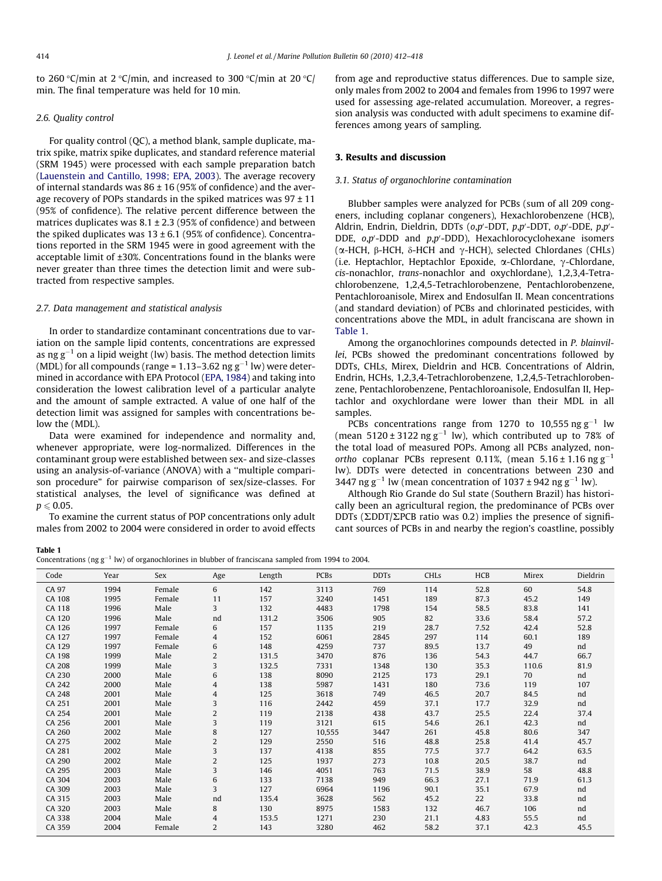<span id="page-2-0"></span>to 260 °C/min at 2 °C/min, and increased to 300 °C/min at 20 °C/ min. The final temperature was held for 10 min.

# 2.6. Quality control

For quality control (QC), a method blank, sample duplicate, matrix spike, matrix spike duplicates, and standard reference material (SRM 1945) were processed with each sample preparation batch ([Lauenstein and Cantillo, 1998; EPA, 2003](#page-5-0)). The average recovery of internal standards was  $86 \pm 16$  (95% of confidence) and the average recovery of POPs standards in the spiked matrices was  $97 \pm 11$ (95% of confidence). The relative percent difference between the matrices duplicates was  $8.1 \pm 2.3$  (95% of confidence) and between the spiked duplicates was  $13 \pm 6.1$  (95% of confidence). Concentrations reported in the SRM 1945 were in good agreement with the acceptable limit of ±30%. Concentrations found in the blanks were never greater than three times the detection limit and were subtracted from respective samples.

### 2.7. Data management and statistical analysis

In order to standardize contaminant concentrations due to variation on the sample lipid contents, concentrations are expressed as ng  $g^{-1}$  on a lipid weight (lw) basis. The method detection limits (MDL) for all compounds (range =  $1.13-3.62$  ng  $g^{-1}$  lw) were determined in accordance with EPA Protocol ([EPA, 1984](#page-5-0)) and taking into consideration the lowest calibration level of a particular analyte and the amount of sample extracted. A value of one half of the detection limit was assigned for samples with concentrations below the (MDL).

Data were examined for independence and normality and, whenever appropriate, were log-normalized. Differences in the contaminant group were established between sex- and size-classes using an analysis-of-variance (ANOVA) with a ''multiple comparison procedure" for pairwise comparison of sex/size-classes. For statistical analyses, the level of significance was defined at  $p \leqslant 0.05$ .

To examine the current status of POP concentrations only adult males from 2002 to 2004 were considered in order to avoid effects from age and reproductive status differences. Due to sample size, only males from 2002 to 2004 and females from 1996 to 1997 were used for assessing age-related accumulation. Moreover, a regression analysis was conducted with adult specimens to examine differences among years of sampling.

#### 3. Results and discussion

#### 3.1. Status of organochlorine contamination

Blubber samples were analyzed for PCBs (sum of all 209 congeners, including coplanar congeners), Hexachlorobenzene (HCB), Aldrin, Endrin, Dieldrin, DDTs (0,p'-DDT, p,p'-DDT, 0,p'-DDE, p,p'-DDE,  $o, p'$ -DDD and  $p, p'$ -DDD), Hexachlorocyclohexane isomers ( $\alpha$ -HCH, β-HCH, δ-HCH and  $\gamma$ -HCH), selected Chlordanes (CHLs) (i.e. Heptachlor, Heptachlor Epoxide,  $\alpha$ -Chlordane,  $\gamma$ -Chlordane, cis-nonachlor, trans-nonachlor and oxychlordane), 1,2,3,4-Tetrachlorobenzene, 1,2,4,5-Tetrachlorobenzene, Pentachlorobenzene, Pentachloroanisole, Mirex and Endosulfan II. Mean concentrations (and standard deviation) of PCBs and chlorinated pesticides, with concentrations above the MDL, in adult franciscana are shown in Table 1.

Among the organochlorines compounds detected in P. blainvillei, PCBs showed the predominant concentrations followed by DDTs, CHLs, Mirex, Dieldrin and HCB. Concentrations of Aldrin, Endrin, HCHs, 1,2,3,4-Tetrachlorobenzene, 1,2,4,5-Tetrachlorobenzene, Pentachlorobenzene, Pentachloroanisole, Endosulfan II, Heptachlor and oxychlordane were lower than their MDL in all samples.

PCBs concentrations range from 1270 to 10,555 ng  $g^{-1}$  lw (mean  $5120 \pm 3122$  ng g<sup>-1</sup> lw), which contributed up to 78% of the total load of measured POPs. Among all PCBs analyzed, nonortho coplanar PCBs represent 0.11%, (mean  $5.16 \pm 1.16$  ng  $g^{-1}$ lw). DDTs were detected in concentrations between 230 and 3447 ng  $g^{-1}$  lw (mean concentration of 1037 ± 942 ng  $g^{-1}$  lw).

Although Rio Grande do Sul state (Southern Brazil) has historically been an agricultural region, the predominance of PCBs over DDTs ( $\Sigma$ DDT/ $\Sigma$ PCB ratio was 0.2) implies the presence of significant sources of PCBs in and nearby the region's coastline, possibly

#### Table 1

Concentrations (ng  $g^{-1}$  lw) of organochlorines in blubber of franciscana sampled from 1994 to 2004.

| Code   | Year | Sex    | Age            | Length | <b>PCBs</b> | <b>DDTs</b> | CHLs | HCB  | Mirex | Dieldrin |
|--------|------|--------|----------------|--------|-------------|-------------|------|------|-------|----------|
| CA 97  | 1994 | Female | 6              | 142    | 3113        | 769         | 114  | 52.8 | 60    | 54.8     |
| CA 108 | 1995 | Female | 11             | 157    | 3240        | 1451        | 189  | 87.3 | 45.2  | 149      |
| CA 118 | 1996 | Male   | 3              | 132    | 4483        | 1798        | 154  | 58.5 | 83.8  | 141      |
| CA 120 | 1996 | Male   | nd             | 131.2  | 3506        | 905         | 82   | 33.6 | 58.4  | 57.2     |
| CA 126 | 1997 | Female | 6              | 157    | 1135        | 219         | 28.7 | 7.52 | 42.4  | 52.8     |
| CA 127 | 1997 | Female | $\overline{4}$ | 152    | 6061        | 2845        | 297  | 114  | 60.1  | 189      |
| CA 129 | 1997 | Female | 6              | 148    | 4259        | 737         | 89.5 | 13.7 | 49    | nd       |
| CA 198 | 1999 | Male   | 2              | 131.5  | 3470        | 876         | 136  | 54.3 | 44.7  | 66.7     |
| CA 208 | 1999 | Male   | 3              | 132.5  | 7331        | 1348        | 130  | 35.3 | 110.6 | 81.9     |
| CA 230 | 2000 | Male   | 6              | 138    | 8090        | 2125        | 173  | 29.1 | 70    | nd       |
| CA 242 | 2000 | Male   | 4              | 138    | 5987        | 1431        | 180  | 73.6 | 119   | 107      |
| CA 248 | 2001 | Male   | 4              | 125    | 3618        | 749         | 46.5 | 20.7 | 84.5  | nd       |
| CA 251 | 2001 | Male   | 3              | 116    | 2442        | 459         | 37.1 | 17.7 | 32.9  | nd       |
| CA 254 | 2001 | Male   | 2              | 119    | 2138        | 438         | 43.7 | 25.5 | 22.4  | 37.4     |
| CA 256 | 2001 | Male   | 3              | 119    | 3121        | 615         | 54.6 | 26.1 | 42.3  | nd       |
| CA 260 | 2002 | Male   | 8              | 127    | 10,555      | 3447        | 261  | 45.8 | 80.6  | 347      |
| CA 275 | 2002 | Male   | 2              | 129    | 2550        | 516         | 48.8 | 25.8 | 41.4  | 45.7     |
| CA 281 | 2002 | Male   | 3              | 137    | 4138        | 855         | 77.5 | 37.7 | 64.2  | 63.5     |
| CA 290 | 2002 | Male   | 2              | 125    | 1937        | 273         | 10.8 | 20.5 | 38.7  | nd       |
| CA 295 | 2003 | Male   | 3              | 146    | 4051        | 763         | 71.5 | 38.9 | 58    | 48.8     |
| CA 304 | 2003 | Male   | 6              | 133    | 7138        | 949         | 66.3 | 27.1 | 71.9  | 61.3     |
| CA 309 | 2003 | Male   | 3              | 127    | 6964        | 1196        | 90.1 | 35.1 | 67.9  | nd       |
| CA 315 | 2003 | Male   | nd             | 135.4  | 3628        | 562         | 45.2 | 22   | 33.8  | nd       |
| CA 320 | 2003 | Male   | 8              | 130    | 8975        | 1583        | 132  | 46.7 | 106   | nd       |
| CA 338 | 2004 | Male   | 4              | 153.5  | 1271        | 230         | 21.1 | 4.83 | 55.5  | nd       |
| CA 359 | 2004 | Female | 2              | 143    | 3280        | 462         | 58.2 | 37.1 | 42.3  | 45.5     |
|        |      |        |                |        |             |             |      |      |       |          |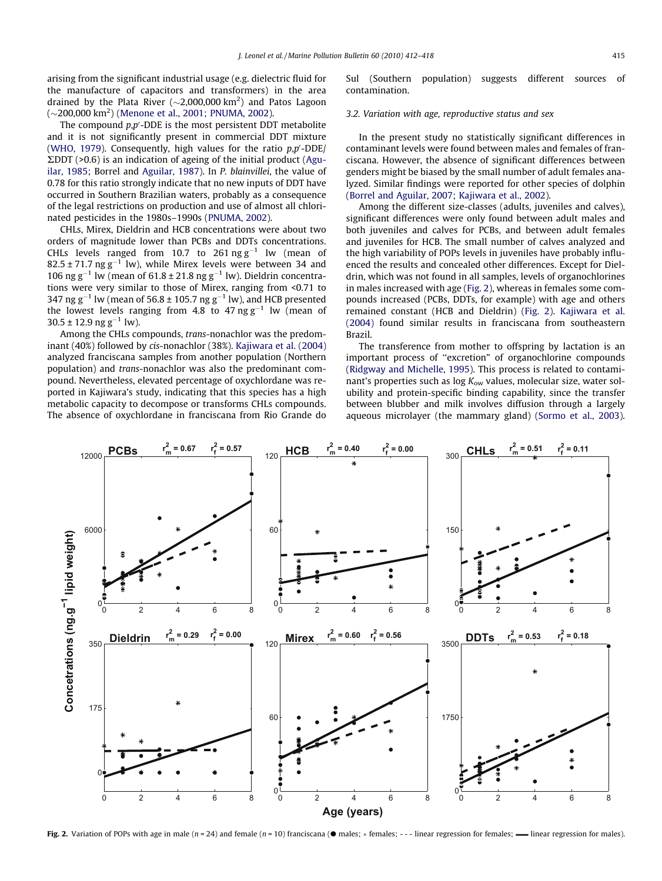arising from the significant industrial usage (e.g. dielectric fluid for the manufacture of capacitors and transformers) in the area drained by the Plata River ( $\sim$ 2,000,000 km<sup>2</sup>) and Patos Lagoon ( $\sim$ 200,000 km $^2$ ) [\(Menone et al., 2001; PNUMA, 2002\)](#page-5-0).

The compound  $p, p'$ -DDE is the most persistent DDT metabolite and it is not significantly present in commercial DDT mixture ([WHO, 1979\)](#page-6-0). Consequently, high values for the ratio  $p, p'$ -DDE/  $\Sigma$ DDT (>0.6) is an indication of ageing of the initial product ([Agu](#page-5-0)[ilar, 1985](#page-5-0); Borrel and [Aguilar, 1987](#page-5-0)). In P. blainvillei, the value of 0.78 for this ratio strongly indicate that no new inputs of DDT have occurred in Southern Brazilian waters, probably as a consequence of the legal restrictions on production and use of almost all chlorinated pesticides in the 1980s–1990s [\(PNUMA, 2002](#page-5-0)).

CHLs, Mirex, Dieldrin and HCB concentrations were about two orders of magnitude lower than PCBs and DDTs concentrations. CHLs levels ranged from 10.7 to 261 ng  $g^{-1}$  lw (mean of  $82.5 \pm 71.7$  ng g<sup>-1</sup> lw), while Mirex levels were between 34 and 106 ng  $g^{-1}$  lw (mean of 61.8 ± 21.8 ng  $g^{-1}$  lw). Dieldrin concentrations were very similar to those of Mirex, ranging from <0.71 to 347 ng  $g^{-1}$  lw (mean of 56.8 ± 105.7 ng  $g^{-1}$  lw), and HCB presented the lowest levels ranging from 4.8 to 47 ng  $g^{-1}$  lw (mean of  $30.5 \pm 12.9$  ng g<sup>-1</sup> lw).

Among the CHLs compounds, trans-nonachlor was the predominant (40%) followed by cis-nonachlor (38%). [Kajiwara et al. \(2004\)](#page-5-0) analyzed franciscana samples from another population (Northern population) and trans-nonachlor was also the predominant compound. Nevertheless, elevated percentage of oxychlordane was reported in Kajiwara's study, indicating that this species has a high metabolic capacity to decompose or transforms CHLs compounds. The absence of oxychlordane in franciscana from Rio Grande do Sul (Southern population) suggests different sources of contamination.

#### 3.2. Variation with age, reproductive status and sex

In the present study no statistically significant differences in contaminant levels were found between males and females of franciscana. However, the absence of significant differences between genders might be biased by the small number of adult females analyzed. Similar findings were reported for other species of dolphin ([Borrel and Aguilar, 2007; Kajiwara et al., 2002\)](#page-5-0).

Among the different size-classes (adults, juveniles and calves), significant differences were only found between adult males and both juveniles and calves for PCBs, and between adult females and juveniles for HCB. The small number of calves analyzed and the high variability of POPs levels in juveniles have probably influenced the results and concealed other differences. Except for Dieldrin, which was not found in all samples, levels of organochlorines in males increased with age (Fig. 2), whereas in females some compounds increased (PCBs, DDTs, for example) with age and others remained constant (HCB and Dieldrin) (Fig. 2). [Kajiwara et al.](#page-5-0) [\(2004\)](#page-5-0) found similar results in franciscana from southeastern Brazil.

The transference from mother to offspring by lactation is an important process of ''excretion" of organochlorine compounds ([Ridgway and Michelle, 1995\)](#page-5-0). This process is related to contaminant's properties such as  $log K<sub>ow</sub>$  values, molecular size, water solubility and protein-specific binding capability, since the transfer between blubber and milk involves diffusion through a largely aqueous microlayer (the mammary gland) ([Sormo et al., 2003\)](#page-5-0).



Fig. 2. Variation of POPs with age in male ( $n = 24$ ) and female ( $n = 10$ ) franciscana ( $\bullet$  males;  $\ast$  females;  $-\ast$ - linear regression for females;  $-\ast$  linear regression for males).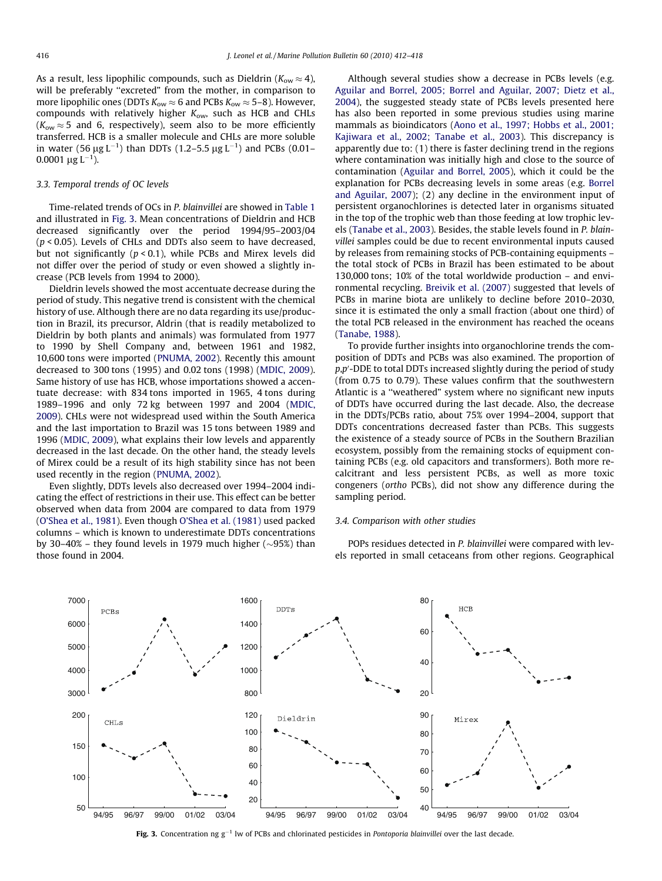As a result, less lipophilic compounds, such as Dieldrin ( $K_{ow} \approx 4$ ), will be preferably "excreted" from the mother, in comparison to more lipophilic ones (DDTs  $K_{ow} \approx 6$  and PCBs  $K_{ow} \approx 5-8$ ). However, compounds with relatively higher  $K_{\text{ow}}$ , such as HCB and CHLs  $(K<sub>ow</sub> \approx 5$  and 6, respectively), seem also to be more efficiently transferred. HCB is a smaller molecule and CHLs are more soluble in water (56  $\mu$ g L $^{-1}$ ) than DDTs (1.2–5.5  $\mu$ g L $^{-1}$ ) and PCBs (0.01–  $0.0001 \ \mu g \ L^{-1}$ ).

#### 3.3. Temporal trends of OC levels

Time-related trends of OCs in P. blainvillei are showed in [Table 1](#page-2-0) and illustrated in Fig. 3. Mean concentrations of Dieldrin and HCB decreased significantly over the period 1994/95–2003/04  $(p < 0.05)$ . Levels of CHLs and DDTs also seem to have decreased, but not significantly ( $p < 0.1$ ), while PCBs and Mirex levels did not differ over the period of study or even showed a slightly increase (PCB levels from 1994 to 2000).

Dieldrin levels showed the most accentuate decrease during the period of study. This negative trend is consistent with the chemical history of use. Although there are no data regarding its use/production in Brazil, its precursor, Aldrin (that is readily metabolized to Dieldrin by both plants and animals) was formulated from 1977 to 1990 by Shell Company and, between 1961 and 1982, 10,600 tons were imported ([PNUMA, 2002\)](#page-5-0). Recently this amount decreased to 300 tons (1995) and 0.02 tons (1998) ([MDIC, 2009\)](#page-5-0). Same history of use has HCB, whose importations showed a accentuate decrease: with 834 tons imported in 1965, 4 tons during 1989–1996 and only 72 kg between 1997 and 2004 ([MDIC,](#page-5-0) [2009\)](#page-5-0). CHLs were not widespread used within the South America and the last importation to Brazil was 15 tons between 1989 and 1996 [\(MDIC, 2009\)](#page-5-0), what explains their low levels and apparently decreased in the last decade. On the other hand, the steady levels of Mirex could be a result of its high stability since has not been used recently in the region [\(PNUMA, 2002](#page-5-0)).

Even slightly, DDTs levels also decreased over 1994–2004 indicating the effect of restrictions in their use. This effect can be better observed when data from 2004 are compared to data from 1979 ([O'Shea et al., 1981\)](#page-5-0). Even though [O'Shea et al. \(1981\)](#page-5-0) used packed columns – which is known to underestimate DDTs concentrations by 30–40% – they found levels in 1979 much higher  $(\sim 95%)$  than those found in 2004.

Although several studies show a decrease in PCBs levels (e.g. [Aguilar and Borrel, 2005; Borrel and Aguilar, 2007; Dietz et al.,](#page-5-0) [2004\)](#page-5-0), the suggested steady state of PCBs levels presented here has also been reported in some previous studies using marine mammals as bioindicators ([Aono et al., 1997; Hobbs et al., 2001;](#page-5-0) [Kajiwara et al., 2002; Tanabe et al., 2003](#page-5-0)). This discrepancy is apparently due to: (1) there is faster declining trend in the regions where contamination was initially high and close to the source of contamination [\(Aguilar and Borrel, 2005](#page-5-0)), which it could be the explanation for PCBs decreasing levels in some areas (e.g. [Borrel](#page-5-0) [and Aguilar, 2007\)](#page-5-0); (2) any decline in the environment input of persistent organochlorines is detected later in organisms situated in the top of the trophic web than those feeding at low trophic levels [\(Tanabe et al., 2003](#page-6-0)). Besides, the stable levels found in P. blainvillei samples could be due to recent environmental inputs caused by releases from remaining stocks of PCB-containing equipments – the total stock of PCBs in Brazil has been estimated to be about 130,000 tons; 10% of the total worldwide production – and environmental recycling. [Breivik et al. \(2007\)](#page-5-0) suggested that levels of PCBs in marine biota are unlikely to decline before 2010–2030, since it is estimated the only a small fraction (about one third) of the total PCB released in the environment has reached the oceans ([Tanabe, 1988](#page-6-0)).

To provide further insights into organochlorine trends the composition of DDTs and PCBs was also examined. The proportion of  $p,p'$ -DDE to total DDTs increased slightly during the period of study (from 0.75 to 0.79). These values confirm that the southwestern Atlantic is a ''weathered" system where no significant new inputs of DDTs have occurred during the last decade. Also, the decrease in the DDTs/PCBs ratio, about 75% over 1994–2004, support that DDTs concentrations decreased faster than PCBs. This suggests the existence of a steady source of PCBs in the Southern Brazilian ecosystem, possibly from the remaining stocks of equipment containing PCBs (e.g. old capacitors and transformers). Both more recalcitrant and less persistent PCBs, as well as more toxic congeners (ortho PCBs), did not show any difference during the sampling period.

### 3.4. Comparison with other studies

POPs residues detected in P. blainvillei were compared with levels reported in small cetaceans from other regions. Geographical



Fig. 3. Concentration ng  $g^{-1}$  lw of PCBs and chlorinated pesticides in Pontoporia blainvillei over the last decade.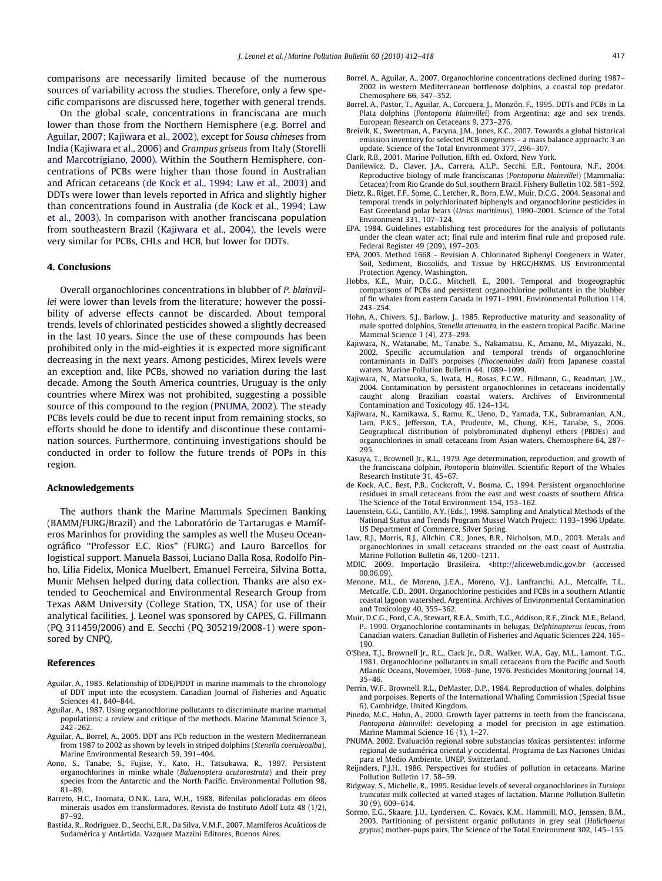<span id="page-5-0"></span>comparisons are necessarily limited because of the numerous sources of variability across the studies. Therefore, only a few specific comparisons are discussed here, together with general trends.

On the global scale, concentrations in franciscana are much lower than those from the Northern Hemisphere (e.g. Borrel and Aguilar, 2007; Kajiwara et al., 2002), except for Sousa chineses from India (Kajiwara et al., 2006) and Grampus griseus from Italy ([Storelli](#page-6-0) [and Marcotrigiano, 2000](#page-6-0)). Within the Southern Hemisphere, concentrations of PCBs were higher than those found in Australian and African cetaceans (de Kock et al., 1994; Law et al., 2003) and DDTs were lower than levels reported in Africa and slightly higher than concentrations found in Australia (de Kock et al., 1994; Law et al., 2003). In comparison with another franciscana population from southeastern Brazil (Kajiwara et al., 2004), the levels were very similar for PCBs, CHLs and HCB, but lower for DDTs.

## 4. Conclusions

Overall organochlorines concentrations in blubber of P. blainvillei were lower than levels from the literature; however the possibility of adverse effects cannot be discarded. About temporal trends, levels of chlorinated pesticides showed a slightly decreased in the last 10 years. Since the use of these compounds has been prohibited only in the mid-eighties it is expected more significant decreasing in the next years. Among pesticides, Mirex levels were an exception and, like PCBs, showed no variation during the last decade. Among the South America countries, Uruguay is the only countries where Mirex was not prohibited, suggesting a possible source of this compound to the region (PNUMA, 2002). The steady PCBs levels could be due to recent input from remaining stocks, so efforts should be done to identify and discontinue these contamination sources. Furthermore, continuing investigations should be conducted in order to follow the future trends of POPs in this region.

#### Acknowledgements

The authors thank the Marine Mammals Specimen Banking (BAMM/FURG/Brazil) and the Laboratório de Tartarugas e Mamíferos Marinhos for providing the samples as well the Museu Oceanográfico ''Professor E.C. Rios" (FURG) and Lauro Barcellos for logistical support. Manuela Bassoi, Luciano Dalla Rosa, Rodolfo Pinho, Lilia Fidelix, Monica Muelbert, Emanuel Ferreira, Silvina Botta, Munir Mehsen helped during data collection. Thanks are also extended to Geochemical and Environmental Research Group from Texas A&M University (College Station, TX, USA) for use of their analytical facilities. J. Leonel was sponsored by CAPES, G. Fillmann (PQ 311459/2006) and E. Secchi (PQ 305219/2008-1) were sponsored by CNPQ.

#### References

- Aguilar, A., 1985. Relationship of DDE/PDDT in marine mammals to the chronology of DDT input into the ecosystem. Canadian Journal of Fisheries and Aquatic Sciences 41, 840–844.
- Aguilar, A., 1987. Using organochlorine pollutants to discriminate marine mammal populations: a review and critique of the methods. Marine Mammal Science 3, 242–262.
- Aguilar, A., Borrel, A., 2005. DDT ans PCb reduction in the western Mediterranean from 1987 to 2002 as shown by levels in striped dolphins (Stenella coeruleoalba). Marine Environmental Research 59, 391–404.
- Aono, S., Tanabe, S., Fujise, Y., Kato, H., Tatsukawa, R., 1997. Persistent organochlorines in minke whale (Balaenoptera acutorostrata) and their prey species from the Antarctic and the North Pacific. Environmental Pollution 98, 81–89.
- Barreto, H.C., Inomata, O.N.K., Lara, W.H., 1988. Bifenilas policloradas em óleos minerais usados em transformadores. Revista do Instituto Adolf Lutz 48 (1/2), 87–92.
- Bastida, R., Rodriguez, D., Secchi, E.R., Da Silva, V.M.F., 2007. Mamíferos Acuáticos de Sudamérica y Antártida. Vazquez Mazzini Editores, Buenos Aires.
- Borrel, A., Aguilar, A., 2007. Organochlorine concentrations declined during 1987– 2002 in western Mediterranean bottlenose dolphins, a coastal top predator. Chemosphere 66, 347–352.
- Borrel, A., Pastor, T., Aguilar, A., Corcuera, J., Monzón, F., 1995. DDTs and PCBs in La Plata dolphins (Pontoporia blainvillei) from Argentina: age and sex trends. European Research on Cetaceans 9, 273–276.
- Breivik, K., Sweetman, A., Pacyna, J.M., Jones, K.C., 2007. Towards a global historical emission inventory for selected PCB congeners – a mass balance approach: 3 an update. Science of the Total Environment 377, 296–307.
- Clark, R.B., 2001. Marine Pollution, fifth ed. Oxford, New York.
- Danilewicz, D., Claver, J.A., Carrera, A.L.P., Secchi, E.R., Fontoura, N.F., 2004. Reproductive biology of male franciscanas (Pontoporia blainvillei) (Mammalia: Cetacea) from Rio Grande do Sul, southern Brazil. Fishery Bulletin 102, 581–592.
- Dietz, R., Riget, F.F., Some, C., Letcher, R., Born, E.W., Muir, D.C.G., 2004. Seasonal and temporal trends in polychlorinated biphenyls and organochlorine pesticides in East Greenland polar bears (Ursus maritimus), 1990–2001. Science of the Total Environment 331, 107–124.
- EPA, 1984. Guidelines establishing test procedures for the analysis of pollutants under the clean water act; final rule and interim final rule and proposed rule. Federal Register 49 (209), 197–203.
- EPA, 2003. Method 1668 Revision A. Chlorinated Biphenyl Congeners in Water, Soil, Sediment, Biosolids, and Tissue by HRGC/HRMS. US Environmental Protection Agency, Washington.
- Hobbs, K.E., Muir, D.C.G., Mitchell, E., 2001. Temporal and biogeographic comparisons of PCBs and persistent organochlorine pollutants in the blubber of fin whales from eastern Canada in 1971–1991. Environmental Pollution 114, 243–254.
- Hohn, A., Chivers, S.J., Barlow, J., 1985. Reproductive maturity and seasonality of male spotted dolphins, Stenella attenuata, in the eastern tropical Pacific. Marine Mammal Science 1 (4), 273–293.
- Kajiwara, N., Watanabe, M., Tanabe, S., Nakamatsu, K., Amano, M., Miyazaki, N., 2002. Specific accumulation and temporal trends of organochlorine contaminants in Dall's porpoises (Phocoenoides dalli) from Japanese coastal waters. Marine Pollution Bulletin 44, 1089–1099.
- Kajiwara, N., Matsuoka, S., Iwata, H., Rosas, F.C.W., Fillmann, G., Readman, J.W., 2004. Contamination by persistent organochlorines in cetaceans incidentally caught along Brazilian coastal waters. Archives of Environmental Contamination and Toxicology 46, 124–134.
- Kajiwara, N., Kamikawa, S., Ramu, K., Ueno, D., Yamada, T.K., Subramanian, A.N., Lam, P.K.S., Jefferson, T.A., Prudente, M., Chung, K.H., Tanabe, S., 2006. Geographical distribution of polybrominated diphenyl ethers (PBDEs) and organochlorines in small cetaceans from Asian waters. Chemosphere 64, 287– 295.
- Kasuya, T., Brownell Jr., R.L., 1979. Age determination, reproduction, and growth of the franciscana dolphin, Pontoporia blainvillei. Scientific Report of the Whales Research Institute 31, 45–67.
- de Kock, A.C., Best, P.B., Cockcroft, V., Bosma, C., 1994. Persistent organochlorine residues in small cetaceans from the east and west coasts of southern Africa. The Science of the Total Environment 154, 153–162.
- Lauenstein, G.G., Cantillo, A.Y. (Eds.), 1998. Sampling and Analytical Methods of the National Status and Trends Program Mussel Watch Project: 1193–1996 Update. US Department of Commerce, Silver Spring.
- Law, R.J., Morris, R.J., Allchin, C.R., Jones, B.R., Nicholson, M.D., 2003. Metals and organochlorines in small cetaceans stranded on the east coast of Australia. Marine Pollution Bulletin 46, 1200–1211.
- MDIC, 2009. Importação Brasileira. [<http://aliceweb.mdic.gov.br](http://aliceweb.mdic.gov.br) (accessed 00.06.09).
- Menone, M.L., de Moreno, J.E.A., Moreno, V.J., Lanfranchi, A.L., Metcalfe, T.L., Metcalfe, C.D., 2001. Organochlorine pesticides and PCBs in a southern Atlantic coastal lagoon watershed, Argentina. Archives of Environmental Contamination and Toxicology 40, 355–362.
- Muir, D.C.G., Ford, C.A., Stewart, R.E.A., Smith, T.G., Addison, R.F., Zinck, M.E., Beland, P., 1990. Organochlorine contaminants in belugas, Delphinapterus leucas, from Canadian waters. Canadian Bulletin of Fisheries and Aquatic Sciences 224, 165– 190.
- O'Shea, T.J., Brownell Jr., R.L., Clark Jr., D.R., Walker, W.A., Gay, M.L., Lamont, T.G., 1981. Organochlorine pollutants in small cetaceans from the Pacific and South Atlantic Oceans, November, 1968–June, 1976. Pesticides Monitoring Journal 14, 35–46.
- Perrin, W.F., Brownell, R.L., DeMaster, D.P., 1984. Reproduction of whales, dolphins and porpoises. Reports of the International Whaling Commission (Special Issue 6), Cambridge, United Kingdom.
- Pinedo, M.C., Hohn, A., 2000. Growth layer patterns in teeth from the franciscana, Pontoporia blainvillei: developing a model for precision in age estimation. Marine Mammal Science 16 (1), 1–27.
- PNUMA, 2002. Evaluación regional sobre substancias tóxicas persistentes: informe regional de sudamérica oriental y occidental. Programa de Las Naciones Unidas para el Medio Ambiente, UNEP, Switzerland.
- Reijnders, P.J.H., 1986. Perspectives for studies of pollution in cetaceans. Marine Pollution Bulletin 17, 58–59.
- Ridgway, S., Michelle, R., 1995. Residue levels of several organochlorines in Tursiops truncatus milk collected at varied stages of lactation. Marine Pollution Bulletin 30 (9), 609–614.
- Sormo, E.G., Skaare, J.U., Lyndersen, C., Kovacs, K.M., Hammill, M.O., Jenssen, B.M., 2003. Partitioning of persistent organic pollutants in grey seal (Halichoerus grypus) mother-pups pairs. The Science of the Total Environment 302, 145–155.